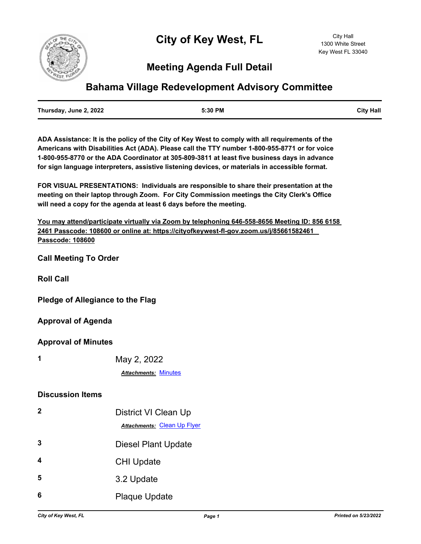# **Meeting Agenda Full Detail**

## **Bahama Village Redevelopment Advisory Committee**

| Thursday, June 2, 2022 | 5:30 PM | <b>City Hall</b> |
|------------------------|---------|------------------|
|                        |         |                  |

**ADA Assistance: It is the policy of the City of Key West to comply with all requirements of the Americans with Disabilities Act (ADA). Please call the TTY number 1-800-955-8771 or for voice 1-800-955-8770 or the ADA Coordinator at 305-809-3811 at least five business days in advance for sign language interpreters, assistive listening devices, or materials in accessible format.**

**FOR VISUAL PRESENTATIONS: Individuals are responsible to share their presentation at the meeting on their laptop through Zoom. For City Commission meetings the City Clerk's Office will need a copy for the agenda at least 6 days before the meeting.**

**You may attend/participate virtually via Zoom by telephoning 646-558-8656 Meeting ID: 856 6158 2461 Passcode: 108600 or online at: https://cityofkeywest-fl-gov.zoom.us/j/85661582461 Passcode: 108600**

**Call Meeting To Order**

**Roll Call**

**Pledge of Allegiance to the Flag**

**Approval of Agenda**

**Approval of Minutes**

**1** May 2, 2022

*Attachments:* [Minutes](http://KeyWest.legistar.com/gateway.aspx?M=F&ID=115bdacf-3f8d-4b88-936c-d558e98eeffb.pdf)

#### **Discussion Items**

| $\mathbf 2$ | District VI Clean Up<br><b>Attachments: Clean Up Flyer</b> |
|-------------|------------------------------------------------------------|
| 3           | <b>Diesel Plant Update</b>                                 |
| 4           | <b>CHI Update</b>                                          |
| 5           | 3.2 Update                                                 |
| 6           | <b>Plaque Update</b>                                       |